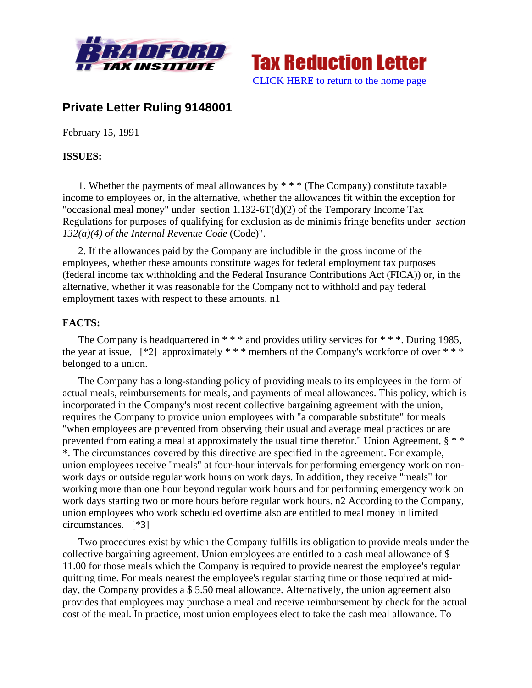



# **Private Letter Ruling 9148001**

February 15, 1991

# **ISSUES:**

1. Whether the payments of meal allowances by \* \* \* (The Company) constitute taxable income to employees or, in the alternative, whether the allowances fit within the exception for "occasional meal money" under section 1.132-6T(d)(2) of the Temporary Income Tax Regulations for purposes of qualifying for exclusion as de minimis fringe benefits under *section 132(a)(4) of the Internal Revenue Code* (Code)".

2. If the allowances paid by the Company are includible in the gross income of the employees, whether these amounts constitute wages for federal employment tax purposes (federal income tax withholding and the Federal Insurance Contributions Act (FICA)) or, in the alternative, whether it was reasonable for the Company not to withhold and pay federal employment taxes with respect to these amounts. n1

# **FACTS:**

The Company is headquartered in  $***$  and provides utility services for  $***$ . During 1985, the year at issue,  $[^*2]$  approximately  $**$  \* members of the Company's workforce of over  $**$ belonged to a union.

The Company has a long-standing policy of providing meals to its employees in the form of actual meals, reimbursements for meals, and payments of meal allowances. This policy, which is incorporated in the Company's most recent collective bargaining agreement with the union, requires the Company to provide union employees with "a comparable substitute" for meals "when employees are prevented from observing their usual and average meal practices or are prevented from eating a meal at approximately the usual time therefor." Union Agreement,  $\S$ \*\* \*. The circumstances covered by this directive are specified in the agreement. For example, union employees receive "meals" at four-hour intervals for performing emergency work on nonwork days or outside regular work hours on work days. In addition, they receive "meals" for working more than one hour beyond regular work hours and for performing emergency work on work days starting two or more hours before regular work hours. n2 According to the Company, union employees who work scheduled overtime also are entitled to meal money in limited circumstances. [\*3]

Two procedures exist by which the Company fulfills its obligation to provide meals under the collective bargaining agreement. Union employees are entitled to a cash meal allowance of \$ 11.00 for those meals which the Company is required to provide nearest the employee's regular quitting time. For meals nearest the employee's regular starting time or those required at midday, the Company provides a \$ 5.50 meal allowance. Alternatively, the union agreement also provides that employees may purchase a meal and receive reimbursement by check for the actual cost of the meal. In practice, most union employees elect to take the cash meal allowance. To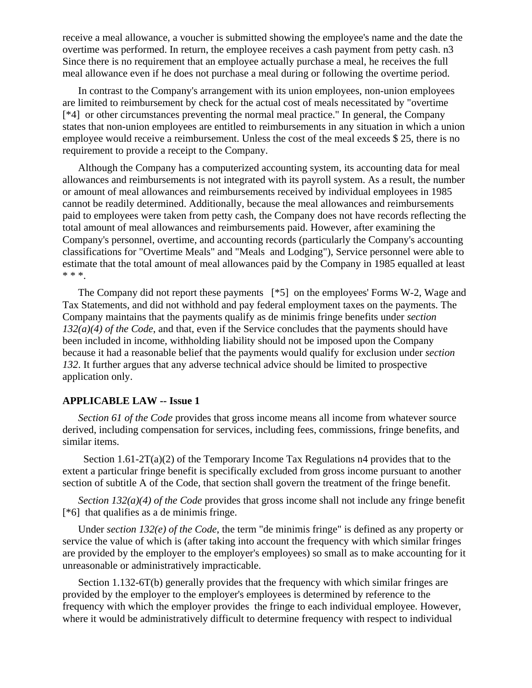receive a meal allowance, a voucher is submitted showing the employee's name and the date the overtime was performed. In return, the employee receives a cash payment from petty cash. n3 Since there is no requirement that an employee actually purchase a meal, he receives the full meal allowance even if he does not purchase a meal during or following the overtime period.

In contrast to the Company's arrangement with its union employees, non-union employees are limited to reimbursement by check for the actual cost of meals necessitated by "overtime [\*4] or other circumstances preventing the normal meal practice." In general, the Company states that non-union employees are entitled to reimbursements in any situation in which a union employee would receive a reimbursement. Unless the cost of the meal exceeds \$ 25, there is no requirement to provide a receipt to the Company.

Although the Company has a computerized accounting system, its accounting data for meal allowances and reimbursements is not integrated with its payroll system. As a result, the number or amount of meal allowances and reimbursements received by individual employees in 1985 cannot be readily determined. Additionally, because the meal allowances and reimbursements paid to employees were taken from petty cash, the Company does not have records reflecting the total amount of meal allowances and reimbursements paid. However, after examining the Company's personnel, overtime, and accounting records (particularly the Company's accounting classifications for "Overtime Meals" and "Meals and Lodging"), Service personnel were able to estimate that the total amount of meal allowances paid by the Company in 1985 equalled at least \* \* \*.

The Company did not report these payments [\*5] on the employees' Forms W-2, Wage and Tax Statements, and did not withhold and pay federal employment taxes on the payments. The Company maintains that the payments qualify as de minimis fringe benefits under *section 132(a)(4) of the Code*, and that, even if the Service concludes that the payments should have been included in income, withholding liability should not be imposed upon the Company because it had a reasonable belief that the payments would qualify for exclusion under *section 132*. It further argues that any adverse technical advice should be limited to prospective application only.

## **APPLICABLE LAW -- Issue 1**

*Section 61 of the Code* provides that gross income means all income from whatever source derived, including compensation for services, including fees, commissions, fringe benefits, and similar items.

Section  $1.61-2T(a)(2)$  of the Temporary Income Tax Regulations n4 provides that to the extent a particular fringe benefit is specifically excluded from gross income pursuant to another section of subtitle A of the Code, that section shall govern the treatment of the fringe benefit.

*Section 132(a)(4) of the Code* provides that gross income shall not include any fringe benefit [\*6] that qualifies as a de minimis fringe.

Under *section 132(e) of the Code*, the term "de minimis fringe" is defined as any property or service the value of which is (after taking into account the frequency with which similar fringes are provided by the employer to the employer's employees) so small as to make accounting for it unreasonable or administratively impracticable.

Section 1.132-6T(b) generally provides that the frequency with which similar fringes are provided by the employer to the employer's employees is determined by reference to the frequency with which the employer provides the fringe to each individual employee. However, where it would be administratively difficult to determine frequency with respect to individual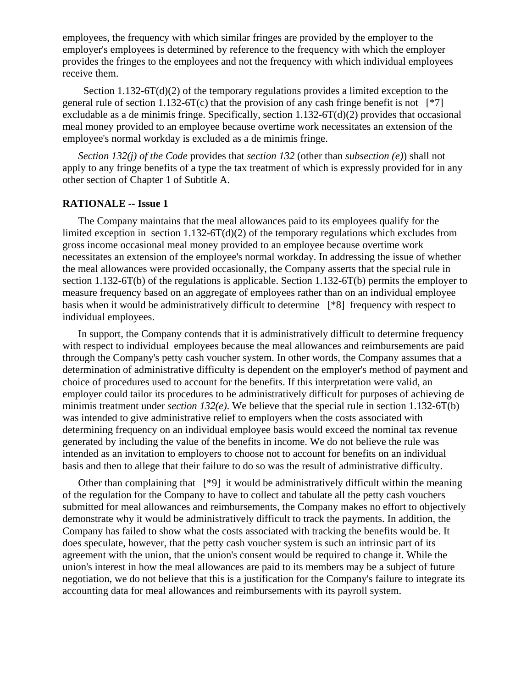employees, the frequency with which similar fringes are provided by the employer to the employer's employees is determined by reference to the frequency with which the employer provides the fringes to the employees and not the frequency with which individual employees receive them.

Section  $1.132-6T(d)(2)$  of the temporary regulations provides a limited exception to the general rule of section 1.132-6T(c) that the provision of any cash fringe benefit is not  $[^*7]$ excludable as a de minimis fringe. Specifically, section 1.132-6T(d)(2) provides that occasional meal money provided to an employee because overtime work necessitates an extension of the employee's normal workday is excluded as a de minimis fringe.

*Section 132(j) of the Code* provides that *section 132* (other than *subsection (e)*) shall not apply to any fringe benefits of a type the tax treatment of which is expressly provided for in any other section of Chapter 1 of Subtitle A.

## **RATIONALE -- Issue 1**

The Company maintains that the meal allowances paid to its employees qualify for the limited exception in section  $1.132-6T(d)(2)$  of the temporary regulations which excludes from gross income occasional meal money provided to an employee because overtime work necessitates an extension of the employee's normal workday. In addressing the issue of whether the meal allowances were provided occasionally, the Company asserts that the special rule in section 1.132-6T(b) of the regulations is applicable. Section 1.132-6T(b) permits the employer to measure frequency based on an aggregate of employees rather than on an individual employee basis when it would be administratively difficult to determine [\*8] frequency with respect to individual employees.

In support, the Company contends that it is administratively difficult to determine frequency with respect to individual employees because the meal allowances and reimbursements are paid through the Company's petty cash voucher system. In other words, the Company assumes that a determination of administrative difficulty is dependent on the employer's method of payment and choice of procedures used to account for the benefits. If this interpretation were valid, an employer could tailor its procedures to be administratively difficult for purposes of achieving de minimis treatment under *section 132(e)*. We believe that the special rule in section 1.132-6T(b) was intended to give administrative relief to employers when the costs associated with determining frequency on an individual employee basis would exceed the nominal tax revenue generated by including the value of the benefits in income. We do not believe the rule was intended as an invitation to employers to choose not to account for benefits on an individual basis and then to allege that their failure to do so was the result of administrative difficulty.

Other than complaining that [\*9] it would be administratively difficult within the meaning of the regulation for the Company to have to collect and tabulate all the petty cash vouchers submitted for meal allowances and reimbursements, the Company makes no effort to objectively demonstrate why it would be administratively difficult to track the payments. In addition, the Company has failed to show what the costs associated with tracking the benefits would be. It does speculate, however, that the petty cash voucher system is such an intrinsic part of its agreement with the union, that the union's consent would be required to change it. While the union's interest in how the meal allowances are paid to its members may be a subject of future negotiation, we do not believe that this is a justification for the Company's failure to integrate its accounting data for meal allowances and reimbursements with its payroll system.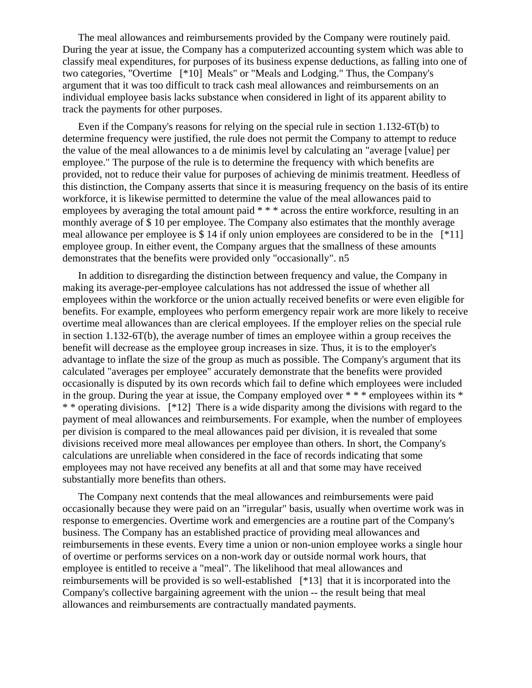The meal allowances and reimbursements provided by the Company were routinely paid. During the year at issue, the Company has a computerized accounting system which was able to classify meal expenditures, for purposes of its business expense deductions, as falling into one of two categories, "Overtime [\*10] Meals" or "Meals and Lodging." Thus, the Company's argument that it was too difficult to track cash meal allowances and reimbursements on an individual employee basis lacks substance when considered in light of its apparent ability to track the payments for other purposes.

Even if the Company's reasons for relying on the special rule in section 1.132-6T(b) to determine frequency were justified, the rule does not permit the Company to attempt to reduce the value of the meal allowances to a de minimis level by calculating an "average [value] per employee." The purpose of the rule is to determine the frequency with which benefits are provided, not to reduce their value for purposes of achieving de minimis treatment. Heedless of this distinction, the Company asserts that since it is measuring frequency on the basis of its entire workforce, it is likewise permitted to determine the value of the meal allowances paid to employees by averaging the total amount paid \* \* \* across the entire workforce, resulting in an monthly average of \$ 10 per employee. The Company also estimates that the monthly average meal allowance per employee is \$ 14 if only union employees are considered to be in the  $[^*11]$ employee group. In either event, the Company argues that the smallness of these amounts demonstrates that the benefits were provided only "occasionally". n5

In addition to disregarding the distinction between frequency and value, the Company in making its average-per-employee calculations has not addressed the issue of whether all employees within the workforce or the union actually received benefits or were even eligible for benefits. For example, employees who perform emergency repair work are more likely to receive overtime meal allowances than are clerical employees. If the employer relies on the special rule in section 1.132-6T(b), the average number of times an employee within a group receives the benefit will decrease as the employee group increases in size. Thus, it is to the employer's advantage to inflate the size of the group as much as possible. The Company's argument that its calculated "averages per employee" accurately demonstrate that the benefits were provided occasionally is disputed by its own records which fail to define which employees were included in the group. During the year at issue, the Company employed over \* \* \* employees within its \* \* \* operating divisions. [\*12] There is a wide disparity among the divisions with regard to the payment of meal allowances and reimbursements. For example, when the number of employees per division is compared to the meal allowances paid per division, it is revealed that some divisions received more meal allowances per employee than others. In short, the Company's calculations are unreliable when considered in the face of records indicating that some employees may not have received any benefits at all and that some may have received substantially more benefits than others.

The Company next contends that the meal allowances and reimbursements were paid occasionally because they were paid on an "irregular" basis, usually when overtime work was in response to emergencies. Overtime work and emergencies are a routine part of the Company's business. The Company has an established practice of providing meal allowances and reimbursements in these events. Every time a union or non-union employee works a single hour of overtime or performs services on a non-work day or outside normal work hours, that employee is entitled to receive a "meal". The likelihood that meal allowances and reimbursements will be provided is so well-established [\*13] that it is incorporated into the Company's collective bargaining agreement with the union -- the result being that meal allowances and reimbursements are contractually mandated payments.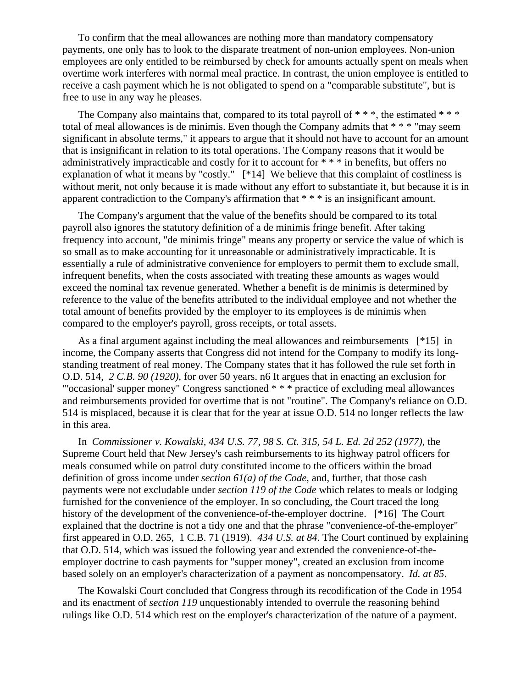To confirm that the meal allowances are nothing more than mandatory compensatory payments, one only has to look to the disparate treatment of non-union employees. Non-union employees are only entitled to be reimbursed by check for amounts actually spent on meals when overtime work interferes with normal meal practice. In contrast, the union employee is entitled to receive a cash payment which he is not obligated to spend on a "comparable substitute", but is free to use in any way he pleases.

The Company also maintains that, compared to its total payroll of  $***$ , the estimated  $***$ total of meal allowances is de minimis. Even though the Company admits that \* \* \* "may seem significant in absolute terms," it appears to argue that it should not have to account for an amount that is insignificant in relation to its total operations. The Company reasons that it would be administratively impracticable and costly for it to account for \* \* \* in benefits, but offers no explanation of what it means by "costly." [\*14] We believe that this complaint of costliness is without merit, not only because it is made without any effort to substantiate it, but because it is in apparent contradiction to the Company's affirmation that \* \* \* is an insignificant amount.

The Company's argument that the value of the benefits should be compared to its total payroll also ignores the statutory definition of a de minimis fringe benefit. After taking frequency into account, "de minimis fringe" means any property or service the value of which is so small as to make accounting for it unreasonable or administratively impracticable. It is essentially a rule of administrative convenience for employers to permit them to exclude small, infrequent benefits, when the costs associated with treating these amounts as wages would exceed the nominal tax revenue generated. Whether a benefit is de minimis is determined by reference to the value of the benefits attributed to the individual employee and not whether the total amount of benefits provided by the employer to its employees is de minimis when compared to the employer's payroll, gross receipts, or total assets.

As a final argument against including the meal allowances and reimbursements [\*15] in income, the Company asserts that Congress did not intend for the Company to modify its longstanding treatment of real money. The Company states that it has followed the rule set forth in O.D. 514, *2 C.B. 90 (1920)*, for over 50 years. n6 It argues that in enacting an exclusion for "'occasional' supper money" Congress sanctioned \* \* \* practice of excluding meal allowances and reimbursements provided for overtime that is not "routine". The Company's reliance on O.D. 514 is misplaced, because it is clear that for the year at issue O.D. 514 no longer reflects the law in this area.

In *Commissioner v. Kowalski, 434 U.S. 77, 98 S. Ct. 315, 54 L. Ed. 2d 252 (1977)*, the Supreme Court held that New Jersey's cash reimbursements to its highway patrol officers for meals consumed while on patrol duty constituted income to the officers within the broad definition of gross income under *section 61(a) of the Code*, and, further, that those cash payments were not excludable under *section 119 of the Code* which relates to meals or lodging furnished for the convenience of the employer. In so concluding, the Court traced the long history of the development of the convenience-of-the-employer doctrine. [\*16] The Court explained that the doctrine is not a tidy one and that the phrase "convenience-of-the-employer" first appeared in O.D. 265, 1 C.B. 71 (1919). *434 U.S. at 84*. The Court continued by explaining that O.D. 514, which was issued the following year and extended the convenience-of-theemployer doctrine to cash payments for "supper money", created an exclusion from income based solely on an employer's characterization of a payment as noncompensatory. *Id. at 85*.

The Kowalski Court concluded that Congress through its recodification of the Code in 1954 and its enactment of *section 119* unquestionably intended to overrule the reasoning behind rulings like O.D. 514 which rest on the employer's characterization of the nature of a payment.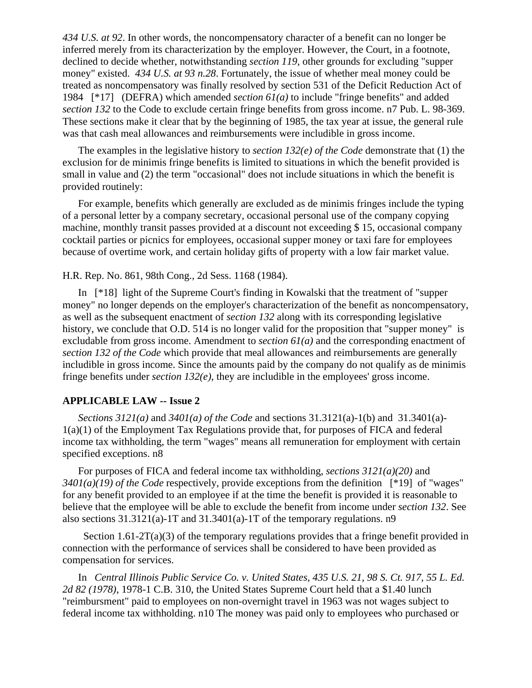*434 U.S. at 92*. In other words, the noncompensatory character of a benefit can no longer be inferred merely from its characterization by the employer. However, the Court, in a footnote, declined to decide whether, notwithstanding *section 119*, other grounds for excluding "supper money" existed. *434 U.S. at 93 n.28*. Fortunately, the issue of whether meal money could be treated as noncompensatory was finally resolved by section 531 of the Deficit Reduction Act of 1984 [\*17] (DEFRA) which amended *section 61(a)* to include "fringe benefits" and added *section 132* to the Code to exclude certain fringe benefits from gross income. n7 Pub. L. 98-369. These sections make it clear that by the beginning of 1985, the tax year at issue, the general rule was that cash meal allowances and reimbursements were includible in gross income.

The examples in the legislative history to *section 132(e) of the Code* demonstrate that (1) the exclusion for de minimis fringe benefits is limited to situations in which the benefit provided is small in value and (2) the term "occasional" does not include situations in which the benefit is provided routinely:

For example, benefits which generally are excluded as de minimis fringes include the typing of a personal letter by a company secretary, occasional personal use of the company copying machine, monthly transit passes provided at a discount not exceeding \$ 15, occasional company cocktail parties or picnics for employees, occasional supper money or taxi fare for employees because of overtime work, and certain holiday gifts of property with a low fair market value.

# H.R. Rep. No. 861, 98th Cong., 2d Sess. 1168 (1984).

In [\*18] light of the Supreme Court's finding in Kowalski that the treatment of "supper money" no longer depends on the employer's characterization of the benefit as noncompensatory, as well as the subsequent enactment of *section 132* along with its corresponding legislative history, we conclude that O.D. 514 is no longer valid for the proposition that "supper money" is excludable from gross income. Amendment to *section 61(a)* and the corresponding enactment of *section 132 of the Code* which provide that meal allowances and reimbursements are generally includible in gross income. Since the amounts paid by the company do not qualify as de minimis fringe benefits under *section 132(e)*, they are includible in the employees' gross income.

## **APPLICABLE LAW -- Issue 2**

*Sections 3121(a)* and *3401(a) of the Code* and sections 31.3121(a)-1(b) and 31.3401(a)- 1(a)(1) of the Employment Tax Regulations provide that, for purposes of FICA and federal income tax withholding, the term "wages" means all remuneration for employment with certain specified exceptions. n8

For purposes of FICA and federal income tax withholding, *sections 3121(a)(20)* and *3401(a)(19) of the Code* respectively, provide exceptions from the definition [\*19] of "wages" for any benefit provided to an employee if at the time the benefit is provided it is reasonable to believe that the employee will be able to exclude the benefit from income under *section 132*. See also sections  $31.3121(a)$ -1T and  $31.3401(a)$ -1T of the temporary regulations. n9

Section  $1.61-2T(a)(3)$  of the temporary regulations provides that a fringe benefit provided in connection with the performance of services shall be considered to have been provided as compensation for services.

In *Central Illinois Public Service Co. v. United States, 435 U.S. 21, 98 S. Ct. 917, 55 L. Ed. 2d 82 (1978)*, 1978-1 C.B. 310, the United States Supreme Court held that a \$1.40 lunch "reimbursment" paid to employees on non-overnight travel in 1963 was not wages subject to federal income tax withholding. n10 The money was paid only to employees who purchased or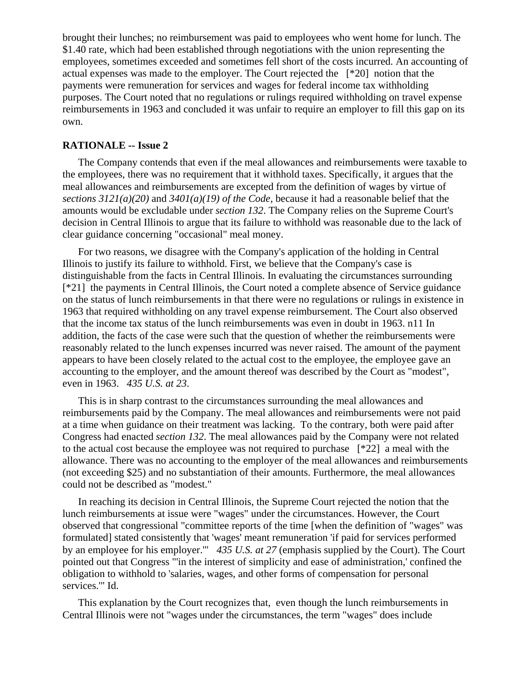brought their lunches; no reimbursement was paid to employees who went home for lunch. The \$1.40 rate, which had been established through negotiations with the union representing the employees, sometimes exceeded and sometimes fell short of the costs incurred. An accounting of actual expenses was made to the employer. The Court rejected the [\*20] notion that the payments were remuneration for services and wages for federal income tax withholding purposes. The Court noted that no regulations or rulings required withholding on travel expense reimbursements in 1963 and concluded it was unfair to require an employer to fill this gap on its own.

## **RATIONALE -- Issue 2**

The Company contends that even if the meal allowances and reimbursements were taxable to the employees, there was no requirement that it withhold taxes. Specifically, it argues that the meal allowances and reimbursements are excepted from the definition of wages by virtue of *sections 3121(a)(20)* and *3401(a)(19) of the Code*, because it had a reasonable belief that the amounts would be excludable under *section 132*. The Company relies on the Supreme Court's decision in Central Illinois to argue that its failure to withhold was reasonable due to the lack of clear guidance concerning "occasional" meal money.

For two reasons, we disagree with the Company's application of the holding in Central Illinois to justify its failure to withhold. First, we believe that the Company's case is distinguishable from the facts in Central Illinois. In evaluating the circumstances surrounding [\*21] the payments in Central Illinois, the Court noted a complete absence of Service guidance on the status of lunch reimbursements in that there were no regulations or rulings in existence in 1963 that required withholding on any travel expense reimbursement. The Court also observed that the income tax status of the lunch reimbursements was even in doubt in 1963. n11 In addition, the facts of the case were such that the question of whether the reimbursements were reasonably related to the lunch expenses incurred was never raised. The amount of the payment appears to have been closely related to the actual cost to the employee, the employee gave an accounting to the employer, and the amount thereof was described by the Court as "modest", even in 1963. *435 U.S. at 23*.

This is in sharp contrast to the circumstances surrounding the meal allowances and reimbursements paid by the Company. The meal allowances and reimbursements were not paid at a time when guidance on their treatment was lacking. To the contrary, both were paid after Congress had enacted *section 132*. The meal allowances paid by the Company were not related to the actual cost because the employee was not required to purchase [\*22] a meal with the allowance. There was no accounting to the employer of the meal allowances and reimbursements (not exceeding \$25) and no substantiation of their amounts. Furthermore, the meal allowances could not be described as "modest."

In reaching its decision in Central Illinois, the Supreme Court rejected the notion that the lunch reimbursements at issue were "wages" under the circumstances. However, the Court observed that congressional "committee reports of the time [when the definition of "wages" was formulated] stated consistently that 'wages' meant remuneration 'if paid for services performed by an employee for his employer.'" *435 U.S. at 27* (emphasis supplied by the Court). The Court pointed out that Congress "'in the interest of simplicity and ease of administration,' confined the obligation to withhold to 'salaries, wages, and other forms of compensation for personal services.'" Id.

This explanation by the Court recognizes that, even though the lunch reimbursements in Central Illinois were not "wages under the circumstances, the term "wages" does include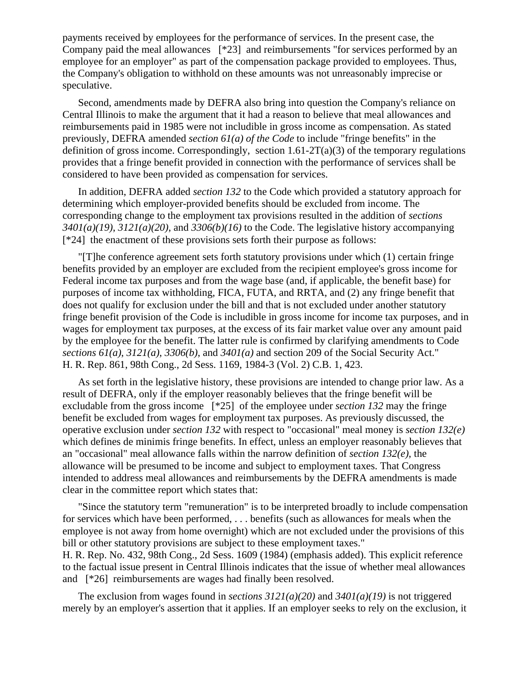payments received by employees for the performance of services. In the present case, the Company paid the meal allowances [\*23] and reimbursements "for services performed by an employee for an employer" as part of the compensation package provided to employees. Thus, the Company's obligation to withhold on these amounts was not unreasonably imprecise or speculative.

Second, amendments made by DEFRA also bring into question the Company's reliance on Central Illinois to make the argument that it had a reason to believe that meal allowances and reimbursements paid in 1985 were not includible in gross income as compensation. As stated previously, DEFRA amended *section 61(a) of the Code* to include "fringe benefits" in the definition of gross income. Correspondingly, section  $1.61-2T(a)(3)$  of the temporary regulations provides that a fringe benefit provided in connection with the performance of services shall be considered to have been provided as compensation for services.

In addition, DEFRA added *section 132* to the Code which provided a statutory approach for determining which employer-provided benefits should be excluded from income. The corresponding change to the employment tax provisions resulted in the addition of *sections 3401(a)(19)*, *3121(a)(20)*, and *3306(b)(16)* to the Code. The legislative history accompanying [\*24] the enactment of these provisions sets forth their purpose as follows:

"[T]he conference agreement sets forth statutory provisions under which (1) certain fringe benefits provided by an employer are excluded from the recipient employee's gross income for Federal income tax purposes and from the wage base (and, if applicable, the benefit base) for purposes of income tax withholding, FICA, FUTA, and RRTA, and (2) any fringe benefit that does not qualify for exclusion under the bill and that is not excluded under another statutory fringe benefit provision of the Code is includible in gross income for income tax purposes, and in wages for employment tax purposes, at the excess of its fair market value over any amount paid by the employee for the benefit. The latter rule is confirmed by clarifying amendments to Code *sections 61(a)*, *3121(a)*, *3306(b)*, and *3401(a)* and section 209 of the Social Security Act." H. R. Rep. 861, 98th Cong., 2d Sess. 1169, 1984-3 (Vol. 2) C.B. 1, 423.

As set forth in the legislative history, these provisions are intended to change prior law. As a result of DEFRA, only if the employer reasonably believes that the fringe benefit will be excludable from the gross income [\*25] of the employee under *section 132* may the fringe benefit be excluded from wages for employment tax purposes. As previously discussed, the operative exclusion under *section 132* with respect to "occasional" meal money is *section 132(e)* which defines de minimis fringe benefits. In effect, unless an employer reasonably believes that an "occasional" meal allowance falls within the narrow definition of *section 132(e)*, the allowance will be presumed to be income and subject to employment taxes. That Congress intended to address meal allowances and reimbursements by the DEFRA amendments is made clear in the committee report which states that:

"Since the statutory term "remuneration" is to be interpreted broadly to include compensation for services which have been performed, . . . benefits (such as allowances for meals when the employee is not away from home overnight) which are not excluded under the provisions of this bill or other statutory provisions are subject to these employment taxes." H. R. Rep. No. 432, 98th Cong., 2d Sess. 1609 (1984) (emphasis added). This explicit reference to the factual issue present in Central Illinois indicates that the issue of whether meal allowances and [\*26] reimbursements are wages had finally been resolved.

The exclusion from wages found in *sections 3121(a)(20)* and *3401(a)(19)* is not triggered merely by an employer's assertion that it applies. If an employer seeks to rely on the exclusion, it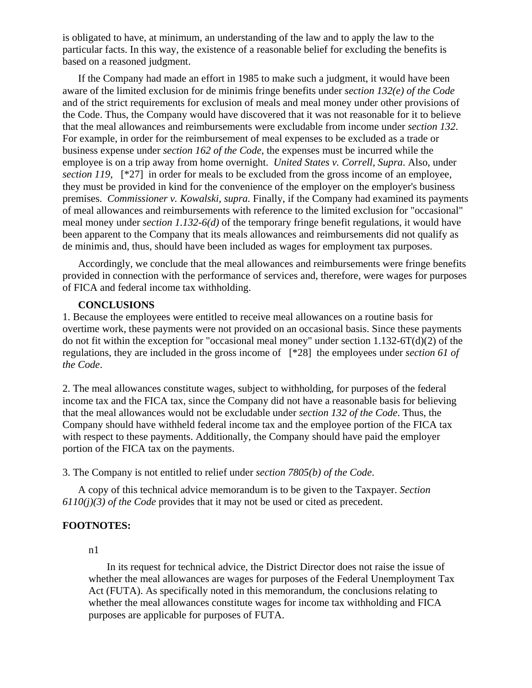is obligated to have, at minimum, an understanding of the law and to apply the law to the particular facts. In this way, the existence of a reasonable belief for excluding the benefits is based on a reasoned judgment.

If the Company had made an effort in 1985 to make such a judgment, it would have been aware of the limited exclusion for de minimis fringe benefits under *section 132(e) of the Code* and of the strict requirements for exclusion of meals and meal money under other provisions of the Code. Thus, the Company would have discovered that it was not reasonable for it to believe that the meal allowances and reimbursements were excludable from income under *section 132*. For example, in order for the reimbursement of meal expenses to be excluded as a trade or business expense under *section 162 of the Code*, the expenses must be incurred while the employee is on a trip away from home overnight. *United States v. Correll, Supra*. Also, under *section 119*,  $[^*27]$  in order for meals to be excluded from the gross income of an employee, they must be provided in kind for the convenience of the employer on the employer's business premises. *Commissioner v. Kowalski, supra.* Finally, if the Company had examined its payments of meal allowances and reimbursements with reference to the limited exclusion for "occasional" meal money under *section 1.132-6(d)* of the temporary fringe benefit regulations, it would have been apparent to the Company that its meals allowances and reimbursements did not qualify as de minimis and, thus, should have been included as wages for employment tax purposes.

Accordingly, we conclude that the meal allowances and reimbursements were fringe benefits provided in connection with the performance of services and, therefore, were wages for purposes of FICA and federal income tax withholding.

# **CONCLUSIONS**

1. Because the employees were entitled to receive meal allowances on a routine basis for overtime work, these payments were not provided on an occasional basis. Since these payments do not fit within the exception for "occasional meal money" under section 1.132-6T(d)(2) of the regulations, they are included in the gross income of [\*28] the employees under *section 61 of the Code*.

2. The meal allowances constitute wages, subject to withholding, for purposes of the federal income tax and the FICA tax, since the Company did not have a reasonable basis for believing that the meal allowances would not be excludable under *section 132 of the Code*. Thus, the Company should have withheld federal income tax and the employee portion of the FICA tax with respect to these payments. Additionally, the Company should have paid the employer portion of the FICA tax on the payments.

3. The Company is not entitled to relief under *section 7805(b) of the Code*.

A copy of this technical advice memorandum is to be given to the Taxpayer. *Section 6110(j)(3) of the Code* provides that it may not be used or cited as precedent.

# **FOOTNOTES:**

#### n1

 In its request for technical advice, the District Director does not raise the issue of whether the meal allowances are wages for purposes of the Federal Unemployment Tax Act (FUTA). As specifically noted in this memorandum, the conclusions relating to whether the meal allowances constitute wages for income tax withholding and FICA purposes are applicable for purposes of FUTA.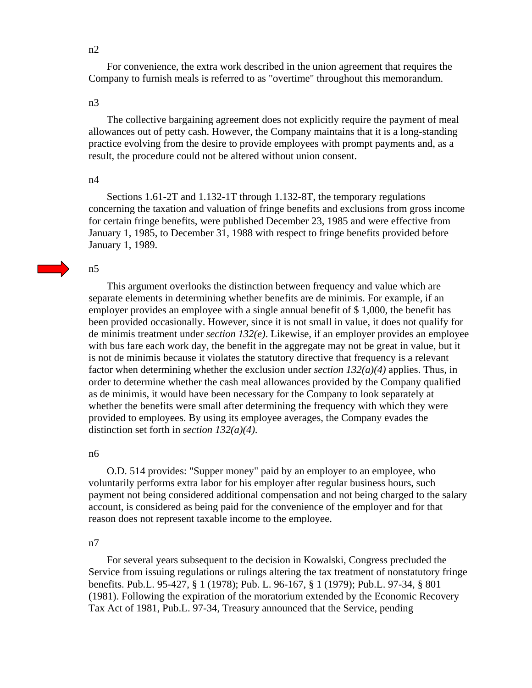n2

 For convenience, the extra work described in the union agreement that requires the Company to furnish meals is referred to as "overtime" throughout this memorandum.

#### n3

 The collective bargaining agreement does not explicitly require the payment of meal allowances out of petty cash. However, the Company maintains that it is a long-standing practice evolving from the desire to provide employees with prompt payments and, as a result, the procedure could not be altered without union consent.

#### n4

 Sections 1.61-2T and 1.132-1T through 1.132-8T, the temporary regulations concerning the taxation and valuation of fringe benefits and exclusions from gross income for certain fringe benefits, were published December 23, 1985 and were effective from January 1, 1985, to December 31, 1988 with respect to fringe benefits provided before January 1, 1989.

#### n5

 This argument overlooks the distinction between frequency and value which are separate elements in determining whether benefits are de minimis. For example, if an employer provides an employee with a single annual benefit of \$1,000, the benefit has been provided occasionally. However, since it is not small in value, it does not qualify for de minimis treatment under *section 132(e)*. Likewise, if an employer provides an employee with bus fare each work day, the benefit in the aggregate may not be great in value, but it is not de minimis because it violates the statutory directive that frequency is a relevant factor when determining whether the exclusion under *section 132(a)(4)* applies. Thus, in order to determine whether the cash meal allowances provided by the Company qualified as de minimis, it would have been necessary for the Company to look separately at whether the benefits were small after determining the frequency with which they were provided to employees. By using its employee averages, the Company evades the distinction set forth in *section 132(a)(4)*.

#### n6

 O.D. 514 provides: "Supper money" paid by an employer to an employee, who voluntarily performs extra labor for his employer after regular business hours, such payment not being considered additional compensation and not being charged to the salary account, is considered as being paid for the convenience of the employer and for that reason does not represent taxable income to the employee.

#### n7

 For several years subsequent to the decision in Kowalski, Congress precluded the Service from issuing regulations or rulings altering the tax treatment of nonstatutory fringe benefits. Pub.L. 95-427, § 1 (1978); Pub. L. 96-167, § 1 (1979); Pub.L. 97-34, § 801 (1981). Following the expiration of the moratorium extended by the Economic Recovery Tax Act of 1981, Pub.L. 97-34, Treasury announced that the Service, pending